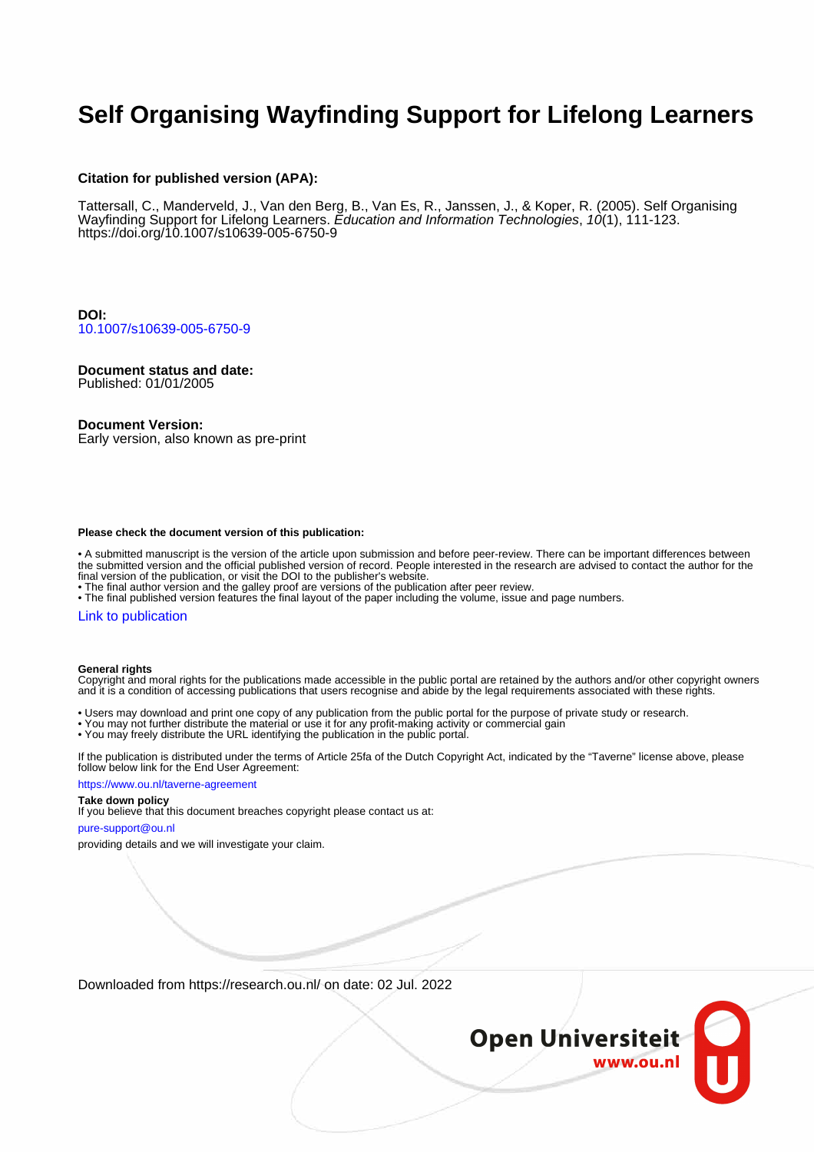# **Self Organising Wayfinding Support for Lifelong Learners**

#### **Citation for published version (APA):**

Tattersall, C., Manderveld, J., Van den Berg, B., Van Es, R., Janssen, J., & Koper, R. (2005). Self Organising Wayfinding Support for Lifelong Learners. Education and Information Technologies, 10(1), 111-123. <https://doi.org/10.1007/s10639-005-6750-9>

**DOI:** [10.1007/s10639-005-6750-9](https://doi.org/10.1007/s10639-005-6750-9)

#### **Document status and date:**

Published: 01/01/2005

#### **Document Version:**

Early version, also known as pre-print

#### **Please check the document version of this publication:**

• A submitted manuscript is the version of the article upon submission and before peer-review. There can be important differences between the submitted version and the official published version of record. People interested in the research are advised to contact the author for the final version of the publication, or visit the DOI to the publisher's website.

• The final author version and the galley proof are versions of the publication after peer review.

• The final published version features the final layout of the paper including the volume, issue and page numbers.

#### [Link to publication](https://research.ou.nl/en/publications/9c8307a6-90ba-4d8a-a895-4e8586fcd51a)

#### **General rights**

Copyright and moral rights for the publications made accessible in the public portal are retained by the authors and/or other copyright owners and it is a condition of accessing publications that users recognise and abide by the legal requirements associated with these rights.

- Users may download and print one copy of any publication from the public portal for the purpose of private study or research.
- You may not further distribute the material or use it for any profit-making activity or commercial gain
- You may freely distribute the URL identifying the publication in the public portal.

If the publication is distributed under the terms of Article 25fa of the Dutch Copyright Act, indicated by the "Taverne" license above, please follow below link for the End User Agreement:

#### https://www.ou.nl/taverne-agreement

# **Take down policy**

If you believe that this document breaches copyright please contact us at:

#### pure-support@ou.nl

providing details and we will investigate your claim.

Downloaded from https://research.ou.nl/ on date: 02 Jul. 2022

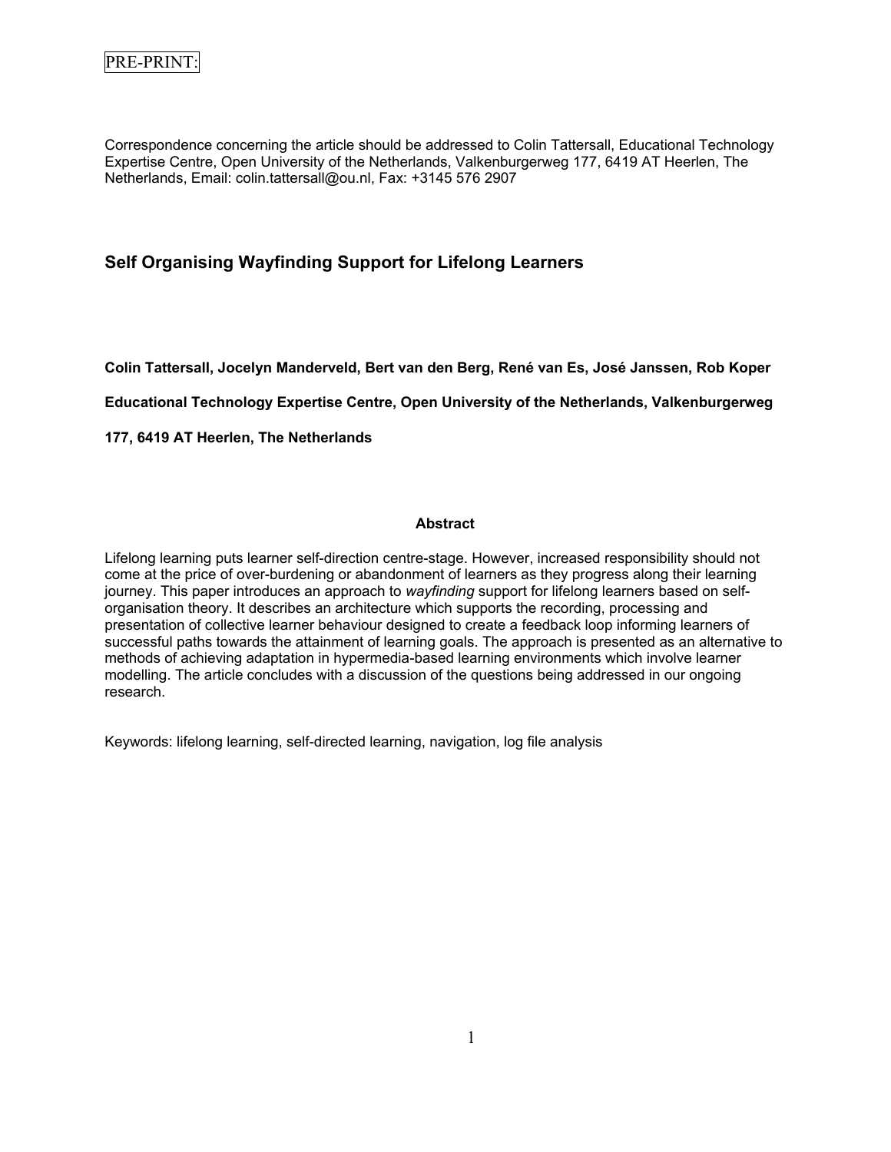Correspondence concerning the article should be addressed to Colin Tattersall, Educational Technology Expertise Centre, Open University of the Netherlands, Valkenburgerweg 177, 6419 AT Heerlen, The Netherlands, Email: colin.tattersall@ou.nl, Fax: +3145 576 2907

# **Self Organising Wayfinding Support for Lifelong Learners**

**Colin Tattersall, Jocelyn Manderveld, Bert van den Berg, René van Es, José Janssen, Rob Koper** 

**Educational Technology Expertise Centre, Open University of the Netherlands, Valkenburgerweg** 

**177, 6419 AT Heerlen, The Netherlands** 

# **Abstract**

Lifelong learning puts learner self-direction centre-stage. However, increased responsibility should not come at the price of over-burdening or abandonment of learners as they progress along their learning journey. This paper introduces an approach to *wayfinding* support for lifelong learners based on selforganisation theory. It describes an architecture which supports the recording, processing and presentation of collective learner behaviour designed to create a feedback loop informing learners of successful paths towards the attainment of learning goals. The approach is presented as an alternative to methods of achieving adaptation in hypermedia-based learning environments which involve learner modelling. The article concludes with a discussion of the questions being addressed in our ongoing research.

Keywords: lifelong learning, self-directed learning, navigation, log file analysis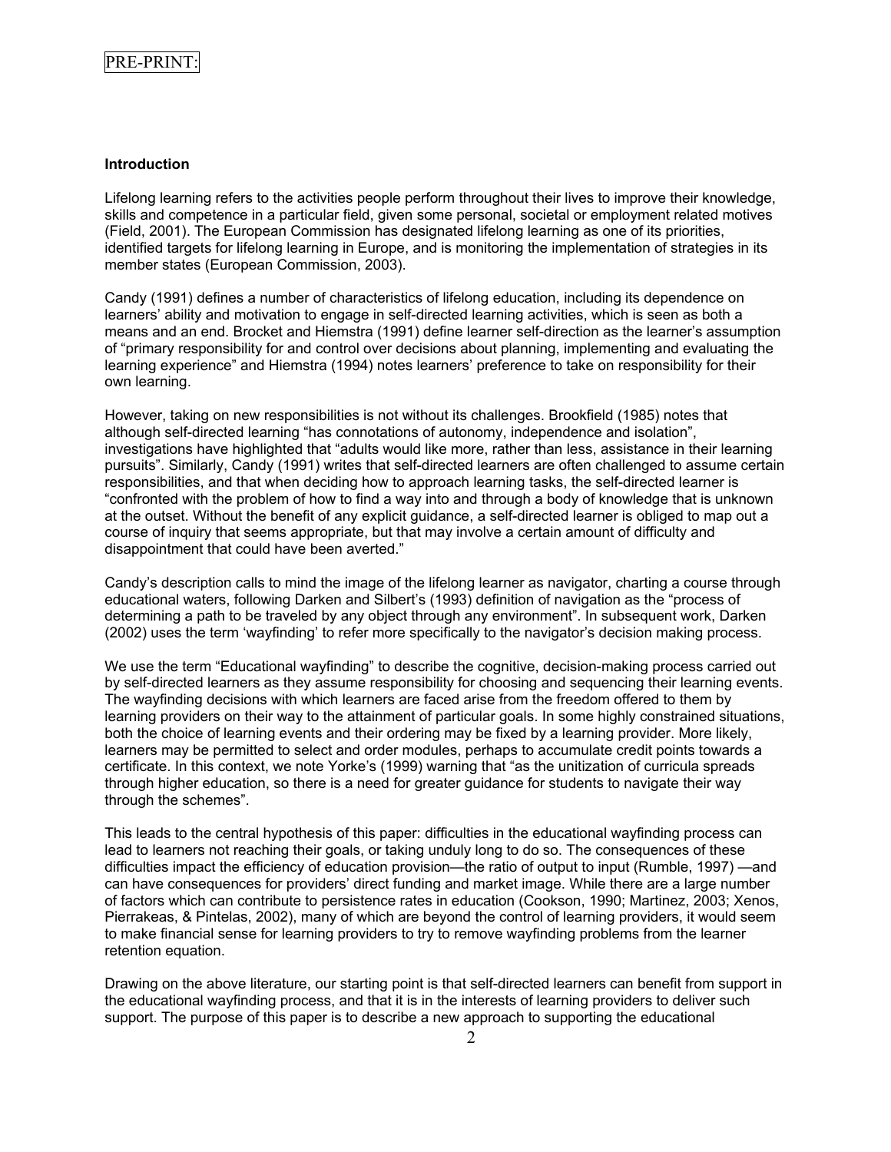### **Introduction**

Lifelong learning refers to the activities people perform throughout their lives to improve their knowledge, skills and competence in a particular field, given some personal, societal or employment related motives (Field, 2001). The European Commission has designated lifelong learning as one of its priorities, identified targets for lifelong learning in Europe, and is monitoring the implementation of strategies in its member states (European Commission, 2003).

Candy (1991) defines a number of characteristics of lifelong education, including its dependence on learners' ability and motivation to engage in self-directed learning activities, which is seen as both a means and an end. Brocket and Hiemstra (1991) define learner self-direction as the learner's assumption of "primary responsibility for and control over decisions about planning, implementing and evaluating the learning experience" and Hiemstra (1994) notes learners' preference to take on responsibility for their own learning.

However, taking on new responsibilities is not without its challenges. Brookfield (1985) notes that although self-directed learning "has connotations of autonomy, independence and isolation", investigations have highlighted that "adults would like more, rather than less, assistance in their learning pursuits". Similarly, Candy (1991) writes that self-directed learners are often challenged to assume certain responsibilities, and that when deciding how to approach learning tasks, the self-directed learner is "confronted with the problem of how to find a way into and through a body of knowledge that is unknown at the outset. Without the benefit of any explicit guidance, a self-directed learner is obliged to map out a course of inquiry that seems appropriate, but that may involve a certain amount of difficulty and disappointment that could have been averted."

Candy's description calls to mind the image of the lifelong learner as navigator, charting a course through educational waters, following Darken and Silbert's (1993) definition of navigation as the "process of determining a path to be traveled by any object through any environment". In subsequent work, Darken (2002) uses the term 'wayfinding' to refer more specifically to the navigator's decision making process.

We use the term "Educational wayfinding" to describe the cognitive, decision-making process carried out by self-directed learners as they assume responsibility for choosing and sequencing their learning events. The wayfinding decisions with which learners are faced arise from the freedom offered to them by learning providers on their way to the attainment of particular goals. In some highly constrained situations, both the choice of learning events and their ordering may be fixed by a learning provider. More likely, learners may be permitted to select and order modules, perhaps to accumulate credit points towards a certificate. In this context, we note Yorke's (1999) warning that "as the unitization of curricula spreads through higher education, so there is a need for greater guidance for students to navigate their way through the schemes".

This leads to the central hypothesis of this paper: difficulties in the educational wayfinding process can lead to learners not reaching their goals, or taking unduly long to do so. The consequences of these difficulties impact the efficiency of education provision—the ratio of output to input (Rumble, 1997) —and can have consequences for providers' direct funding and market image. While there are a large number of factors which can contribute to persistence rates in education (Cookson, 1990; Martinez, 2003; Xenos, Pierrakeas, & Pintelas, 2002), many of which are beyond the control of learning providers, it would seem to make financial sense for learning providers to try to remove wayfinding problems from the learner retention equation.

Drawing on the above literature, our starting point is that self-directed learners can benefit from support in the educational wayfinding process, and that it is in the interests of learning providers to deliver such support. The purpose of this paper is to describe a new approach to supporting the educational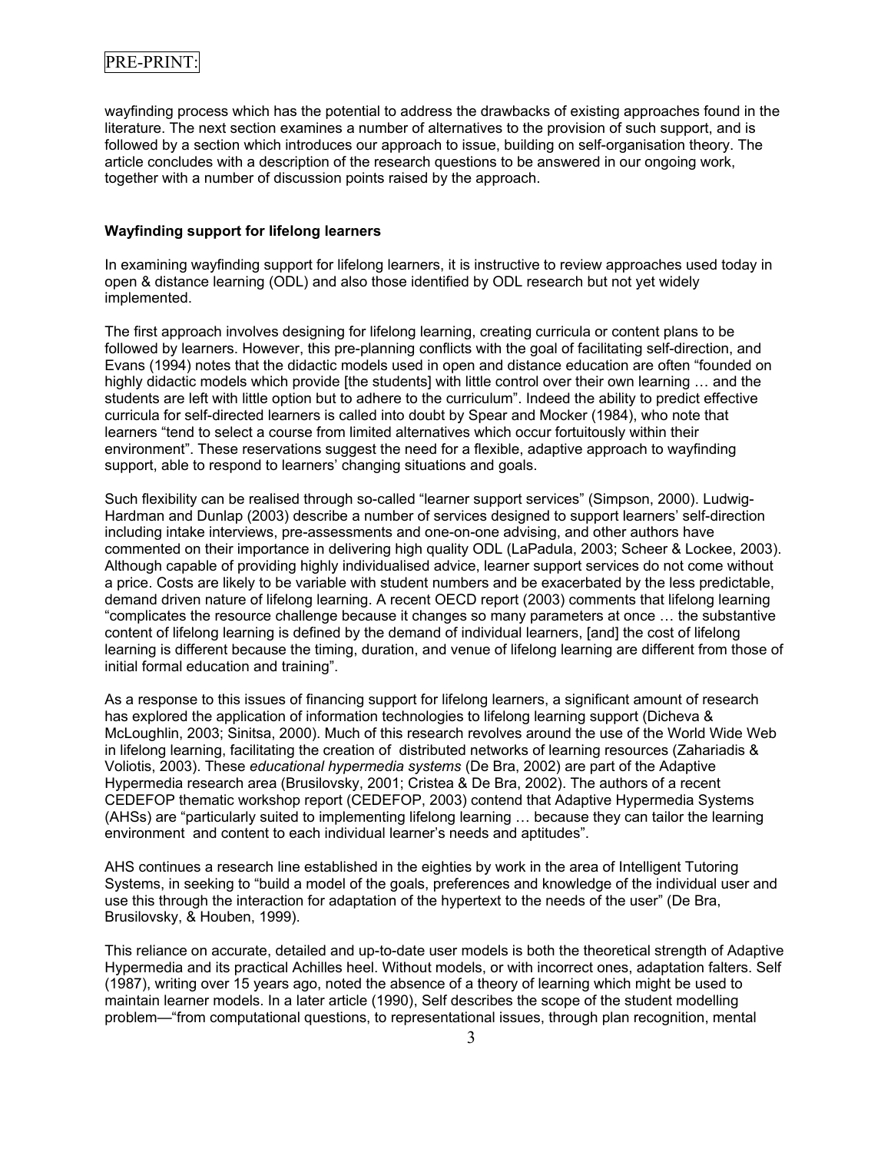wayfinding process which has the potential to address the drawbacks of existing approaches found in the literature. The next section examines a number of alternatives to the provision of such support, and is followed by a section which introduces our approach to issue, building on self-organisation theory. The article concludes with a description of the research questions to be answered in our ongoing work, together with a number of discussion points raised by the approach.

### **Wayfinding support for lifelong learners**

In examining wayfinding support for lifelong learners, it is instructive to review approaches used today in open & distance learning (ODL) and also those identified by ODL research but not yet widely implemented.

The first approach involves designing for lifelong learning, creating curricula or content plans to be followed by learners. However, this pre-planning conflicts with the goal of facilitating self-direction, and Evans (1994) notes that the didactic models used in open and distance education are often "founded on highly didactic models which provide [the students] with little control over their own learning … and the students are left with little option but to adhere to the curriculum". Indeed the ability to predict effective curricula for self-directed learners is called into doubt by Spear and Mocker (1984), who note that learners "tend to select a course from limited alternatives which occur fortuitously within their environment". These reservations suggest the need for a flexible, adaptive approach to wayfinding support, able to respond to learners' changing situations and goals.

Such flexibility can be realised through so-called "learner support services" (Simpson, 2000). Ludwig-Hardman and Dunlap (2003) describe a number of services designed to support learners' self-direction including intake interviews, pre-assessments and one-on-one advising, and other authors have commented on their importance in delivering high quality ODL (LaPadula, 2003; Scheer & Lockee, 2003). Although capable of providing highly individualised advice, learner support services do not come without a price. Costs are likely to be variable with student numbers and be exacerbated by the less predictable, demand driven nature of lifelong learning. A recent OECD report (2003) comments that lifelong learning "complicates the resource challenge because it changes so many parameters at once … the substantive content of lifelong learning is defined by the demand of individual learners, [and] the cost of lifelong learning is different because the timing, duration, and venue of lifelong learning are different from those of initial formal education and training".

As a response to this issues of financing support for lifelong learners, a significant amount of research has explored the application of information technologies to lifelong learning support (Dicheva & McLoughlin, 2003; Sinitsa, 2000). Much of this research revolves around the use of the World Wide Web in lifelong learning, facilitating the creation of distributed networks of learning resources (Zahariadis & Voliotis, 2003). These *educational hypermedia systems* (De Bra, 2002) are part of the Adaptive Hypermedia research area (Brusilovsky, 2001; Cristea & De Bra, 2002). The authors of a recent CEDEFOP thematic workshop report (CEDEFOP, 2003) contend that Adaptive Hypermedia Systems (AHSs) are "particularly suited to implementing lifelong learning … because they can tailor the learning environment and content to each individual learner's needs and aptitudes".

AHS continues a research line established in the eighties by work in the area of Intelligent Tutoring Systems, in seeking to "build a model of the goals, preferences and knowledge of the individual user and use this through the interaction for adaptation of the hypertext to the needs of the user" (De Bra, Brusilovsky, & Houben, 1999).

This reliance on accurate, detailed and up-to-date user models is both the theoretical strength of Adaptive Hypermedia and its practical Achilles heel. Without models, or with incorrect ones, adaptation falters. Self (1987), writing over 15 years ago, noted the absence of a theory of learning which might be used to maintain learner models. In a later article (1990), Self describes the scope of the student modelling problem—"from computational questions, to representational issues, through plan recognition, mental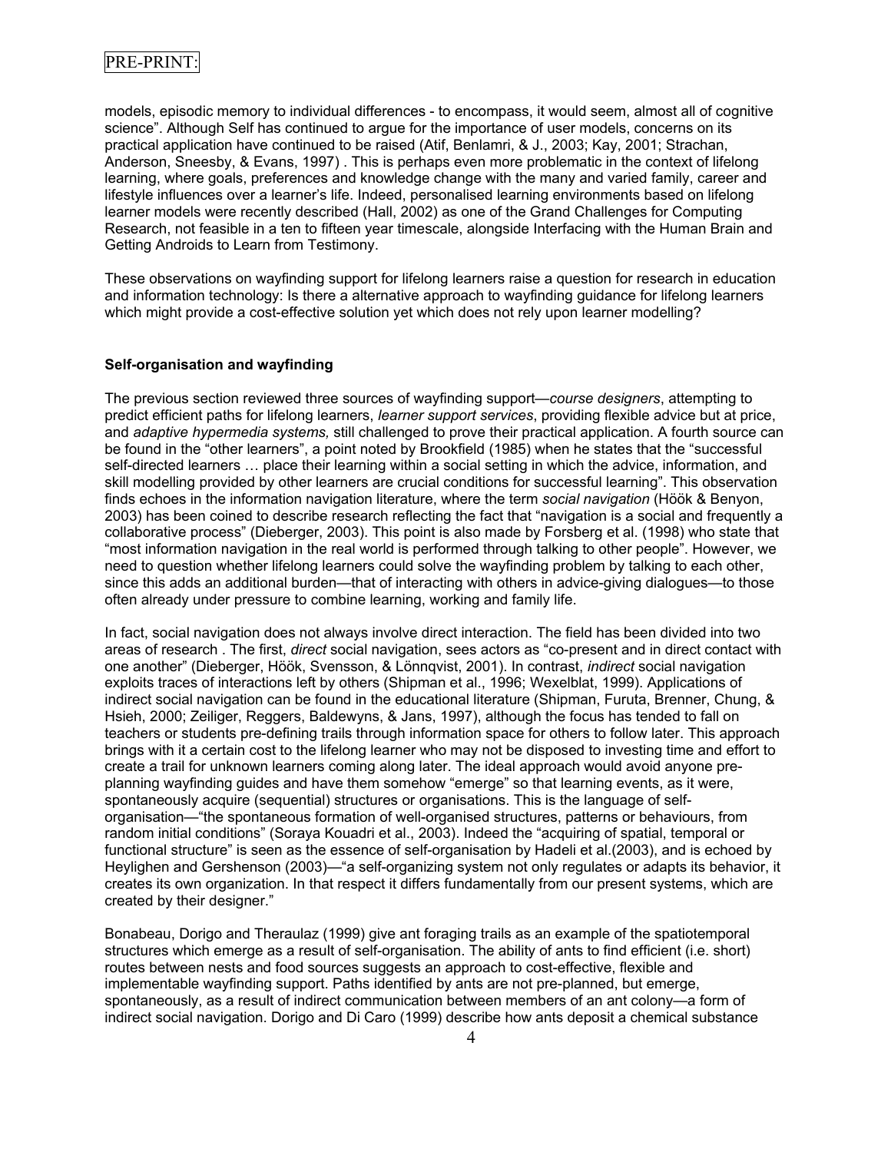models, episodic memory to individual differences - to encompass, it would seem, almost all of cognitive science". Although Self has continued to argue for the importance of user models, concerns on its practical application have continued to be raised (Atif, Benlamri, & J., 2003; Kay, 2001; Strachan, Anderson, Sneesby, & Evans, 1997) . This is perhaps even more problematic in the context of lifelong learning, where goals, preferences and knowledge change with the many and varied family, career and lifestyle influences over a learner's life. Indeed, personalised learning environments based on lifelong learner models were recently described (Hall, 2002) as one of the Grand Challenges for Computing Research, not feasible in a ten to fifteen year timescale, alongside Interfacing with the Human Brain and Getting Androids to Learn from Testimony.

These observations on wayfinding support for lifelong learners raise a question for research in education and information technology: Is there a alternative approach to wayfinding guidance for lifelong learners which might provide a cost-effective solution yet which does not rely upon learner modelling?

### **Self-organisation and wayfinding**

The previous section reviewed three sources of wayfinding support—*course designers*, attempting to predict efficient paths for lifelong learners, *learner support services*, providing flexible advice but at price, and *adaptive hypermedia systems,* still challenged to prove their practical application. A fourth source can be found in the "other learners", a point noted by Brookfield (1985) when he states that the "successful self-directed learners … place their learning within a social setting in which the advice, information, and skill modelling provided by other learners are crucial conditions for successful learning". This observation finds echoes in the information navigation literature, where the term *social navigation* (Höök & Benyon, 2003) has been coined to describe research reflecting the fact that "navigation is a social and frequently a collaborative process" (Dieberger, 2003). This point is also made by Forsberg et al. (1998) who state that "most information navigation in the real world is performed through talking to other people". However, we need to question whether lifelong learners could solve the wayfinding problem by talking to each other, since this adds an additional burden—that of interacting with others in advice-giving dialogues—to those often already under pressure to combine learning, working and family life.

In fact, social navigation does not always involve direct interaction. The field has been divided into two areas of research . The first, *direct* social navigation, sees actors as "co-present and in direct contact with one another" (Dieberger, Höök, Svensson, & Lönnqvist, 2001). In contrast, *indirect* social navigation exploits traces of interactions left by others (Shipman et al., 1996; Wexelblat, 1999). Applications of indirect social navigation can be found in the educational literature (Shipman, Furuta, Brenner, Chung, & Hsieh, 2000; Zeiliger, Reggers, Baldewyns, & Jans, 1997), although the focus has tended to fall on teachers or students pre-defining trails through information space for others to follow later. This approach brings with it a certain cost to the lifelong learner who may not be disposed to investing time and effort to create a trail for unknown learners coming along later. The ideal approach would avoid anyone preplanning wayfinding guides and have them somehow "emerge" so that learning events, as it were, spontaneously acquire (sequential) structures or organisations. This is the language of selforganisation—"the spontaneous formation of well-organised structures, patterns or behaviours, from random initial conditions" (Soraya Kouadri et al., 2003). Indeed the "acquiring of spatial, temporal or functional structure" is seen as the essence of self-organisation by Hadeli et al.(2003), and is echoed by Heylighen and Gershenson (2003)—"a self-organizing system not only regulates or adapts its behavior, it creates its own organization. In that respect it differs fundamentally from our present systems, which are created by their designer."

Bonabeau, Dorigo and Theraulaz (1999) give ant foraging trails as an example of the spatiotemporal structures which emerge as a result of self-organisation. The ability of ants to find efficient (i.e. short) routes between nests and food sources suggests an approach to cost-effective, flexible and implementable wayfinding support. Paths identified by ants are not pre-planned, but emerge, spontaneously, as a result of indirect communication between members of an ant colony—a form of indirect social navigation. Dorigo and Di Caro (1999) describe how ants deposit a chemical substance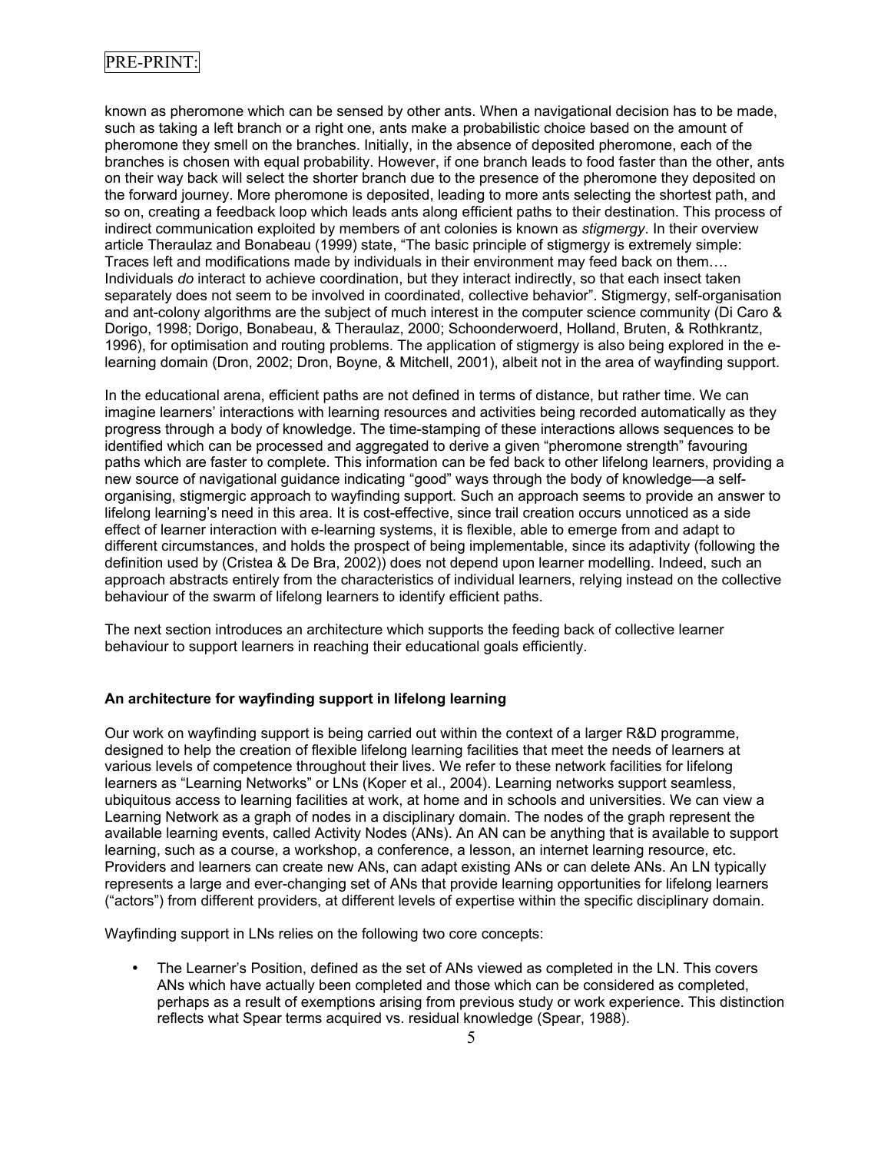known as pheromone which can be sensed by other ants. When a navigational decision has to be made, such as taking a left branch or a right one, ants make a probabilistic choice based on the amount of pheromone they smell on the branches. Initially, in the absence of deposited pheromone, each of the branches is chosen with equal probability. However, if one branch leads to food faster than the other, ants on their way back will select the shorter branch due to the presence of the pheromone they deposited on the forward journey. More pheromone is deposited, leading to more ants selecting the shortest path, and so on, creating a feedback loop which leads ants along efficient paths to their destination. This process of indirect communication exploited by members of ant colonies is known as *stigmergy*. In their overview article Theraulaz and Bonabeau (1999) state, "The basic principle of stigmergy is extremely simple: Traces left and modifications made by individuals in their environment may feed back on them…. Individuals *do* interact to achieve coordination, but they interact indirectly, so that each insect taken separately does not seem to be involved in coordinated, collective behavior". Stigmergy, self-organisation and ant-colony algorithms are the subject of much interest in the computer science community (Di Caro & Dorigo, 1998; Dorigo, Bonabeau, & Theraulaz, 2000; Schoonderwoerd, Holland, Bruten, & Rothkrantz, 1996), for optimisation and routing problems. The application of stigmergy is also being explored in the elearning domain (Dron, 2002; Dron, Boyne, & Mitchell, 2001), albeit not in the area of wayfinding support.

In the educational arena, efficient paths are not defined in terms of distance, but rather time. We can imagine learners' interactions with learning resources and activities being recorded automatically as they progress through a body of knowledge. The time-stamping of these interactions allows sequences to be identified which can be processed and aggregated to derive a given "pheromone strength" favouring paths which are faster to complete. This information can be fed back to other lifelong learners, providing a new source of navigational guidance indicating "good" ways through the body of knowledge—a selforganising, stigmergic approach to wayfinding support. Such an approach seems to provide an answer to lifelong learning's need in this area. It is cost-effective, since trail creation occurs unnoticed as a side effect of learner interaction with e-learning systems, it is flexible, able to emerge from and adapt to different circumstances, and holds the prospect of being implementable, since its adaptivity (following the definition used by (Cristea & De Bra, 2002)) does not depend upon learner modelling. Indeed, such an approach abstracts entirely from the characteristics of individual learners, relying instead on the collective behaviour of the swarm of lifelong learners to identify efficient paths.

The next section introduces an architecture which supports the feeding back of collective learner behaviour to support learners in reaching their educational goals efficiently.

### **An architecture for wayfinding support in lifelong learning**

Our work on wayfinding support is being carried out within the context of a larger R&D programme, designed to help the creation of flexible lifelong learning facilities that meet the needs of learners at various levels of competence throughout their lives. We refer to these network facilities for lifelong learners as "Learning Networks" or LNs (Koper et al., 2004). Learning networks support seamless, ubiquitous access to learning facilities at work, at home and in schools and universities. We can view a Learning Network as a graph of nodes in a disciplinary domain. The nodes of the graph represent the available learning events, called Activity Nodes (ANs). An AN can be anything that is available to support learning, such as a course, a workshop, a conference, a lesson, an internet learning resource, etc. Providers and learners can create new ANs, can adapt existing ANs or can delete ANs. An LN typically represents a large and ever-changing set of ANs that provide learning opportunities for lifelong learners ("actors") from different providers, at different levels of expertise within the specific disciplinary domain.

Wayfinding support in LNs relies on the following two core concepts:

• The Learner's Position, defined as the set of ANs viewed as completed in the LN. This covers ANs which have actually been completed and those which can be considered as completed, perhaps as a result of exemptions arising from previous study or work experience. This distinction reflects what Spear terms acquired vs. residual knowledge (Spear, 1988).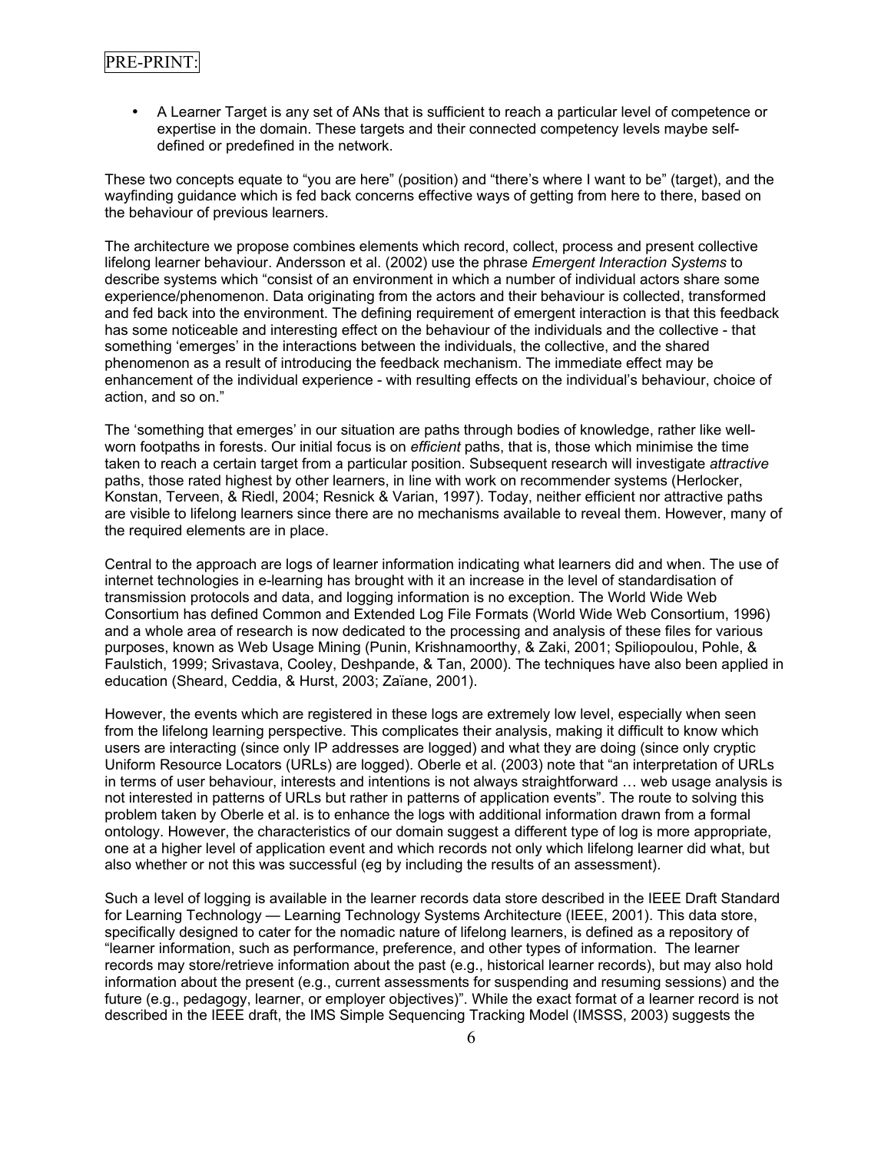• A Learner Target is any set of ANs that is sufficient to reach a particular level of competence or expertise in the domain. These targets and their connected competency levels maybe selfdefined or predefined in the network.

These two concepts equate to "you are here" (position) and "there's where I want to be" (target), and the wayfinding guidance which is fed back concerns effective ways of getting from here to there, based on the behaviour of previous learners.

The architecture we propose combines elements which record, collect, process and present collective lifelong learner behaviour. Andersson et al. (2002) use the phrase *Emergent Interaction Systems* to describe systems which "consist of an environment in which a number of individual actors share some experience/phenomenon. Data originating from the actors and their behaviour is collected, transformed and fed back into the environment. The defining requirement of emergent interaction is that this feedback has some noticeable and interesting effect on the behaviour of the individuals and the collective - that something 'emerges' in the interactions between the individuals, the collective, and the shared phenomenon as a result of introducing the feedback mechanism. The immediate effect may be enhancement of the individual experience - with resulting effects on the individual's behaviour, choice of action, and so on."

The 'something that emerges' in our situation are paths through bodies of knowledge, rather like wellworn footpaths in forests. Our initial focus is on *efficient* paths, that is, those which minimise the time taken to reach a certain target from a particular position. Subsequent research will investigate *attractive* paths, those rated highest by other learners, in line with work on recommender systems (Herlocker, Konstan, Terveen, & Riedl, 2004; Resnick & Varian, 1997). Today, neither efficient nor attractive paths are visible to lifelong learners since there are no mechanisms available to reveal them. However, many of the required elements are in place.

Central to the approach are logs of learner information indicating what learners did and when. The use of internet technologies in e-learning has brought with it an increase in the level of standardisation of transmission protocols and data, and logging information is no exception. The World Wide Web Consortium has defined Common and Extended Log File Formats (World Wide Web Consortium, 1996) and a whole area of research is now dedicated to the processing and analysis of these files for various purposes, known as Web Usage Mining (Punin, Krishnamoorthy, & Zaki, 2001; Spiliopoulou, Pohle, & Faulstich, 1999; Srivastava, Cooley, Deshpande, & Tan, 2000). The techniques have also been applied in education (Sheard, Ceddia, & Hurst, 2003; Zaïane, 2001).

However, the events which are registered in these logs are extremely low level, especially when seen from the lifelong learning perspective. This complicates their analysis, making it difficult to know which users are interacting (since only IP addresses are logged) and what they are doing (since only cryptic Uniform Resource Locators (URLs) are logged). Oberle et al. (2003) note that "an interpretation of URLs in terms of user behaviour, interests and intentions is not always straightforward … web usage analysis is not interested in patterns of URLs but rather in patterns of application events". The route to solving this problem taken by Oberle et al. is to enhance the logs with additional information drawn from a formal ontology. However, the characteristics of our domain suggest a different type of log is more appropriate, one at a higher level of application event and which records not only which lifelong learner did what, but also whether or not this was successful (eg by including the results of an assessment).

Such a level of logging is available in the learner records data store described in the IEEE Draft Standard for Learning Technology — Learning Technology Systems Architecture (IEEE, 2001). This data store, specifically designed to cater for the nomadic nature of lifelong learners, is defined as a repository of "learner information, such as performance, preference, and other types of information. The learner records may store/retrieve information about the past (e.g., historical learner records), but may also hold information about the present (e.g., current assessments for suspending and resuming sessions) and the future (e.g., pedagogy, learner, or employer objectives)". While the exact format of a learner record is not described in the IEEE draft, the IMS Simple Sequencing Tracking Model (IMSSS, 2003) suggests the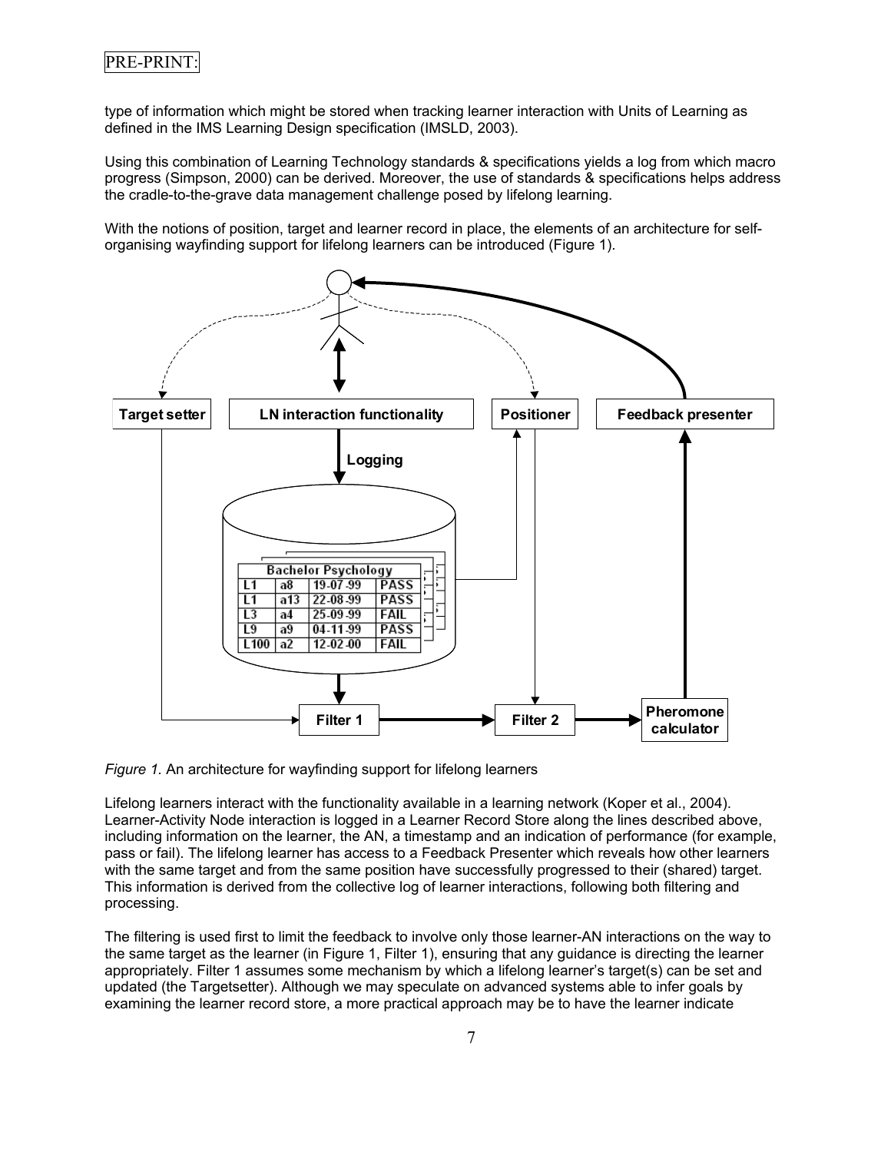type of information which might be stored when tracking learner interaction with Units of Learning as defined in the IMS Learning Design specification (IMSLD, 2003).

Using this combination of Learning Technology standards & specifications yields a log from which macro progress (Simpson, 2000) can be derived. Moreover, the use of standards & specifications helps address the cradle-to-the-grave data management challenge posed by lifelong learning.

With the notions of position, target and learner record in place, the elements of an architecture for selforganising wayfinding support for lifelong learners can be introduced (Figure 1).



*Figure 1.* An architecture for wayfinding support for lifelong learners

Lifelong learners interact with the functionality available in a learning network (Koper et al., 2004). Learner-Activity Node interaction is logged in a Learner Record Store along the lines described above, including information on the learner, the AN, a timestamp and an indication of performance (for example, pass or fail). The lifelong learner has access to a Feedback Presenter which reveals how other learners with the same target and from the same position have successfully progressed to their (shared) target. This information is derived from the collective log of learner interactions, following both filtering and processing.

The filtering is used first to limit the feedback to involve only those learner-AN interactions on the way to the same target as the learner (in Figure 1, Filter 1), ensuring that any guidance is directing the learner appropriately. Filter 1 assumes some mechanism by which a lifelong learner's target(s) can be set and updated (the Targetsetter). Although we may speculate on advanced systems able to infer goals by examining the learner record store, a more practical approach may be to have the learner indicate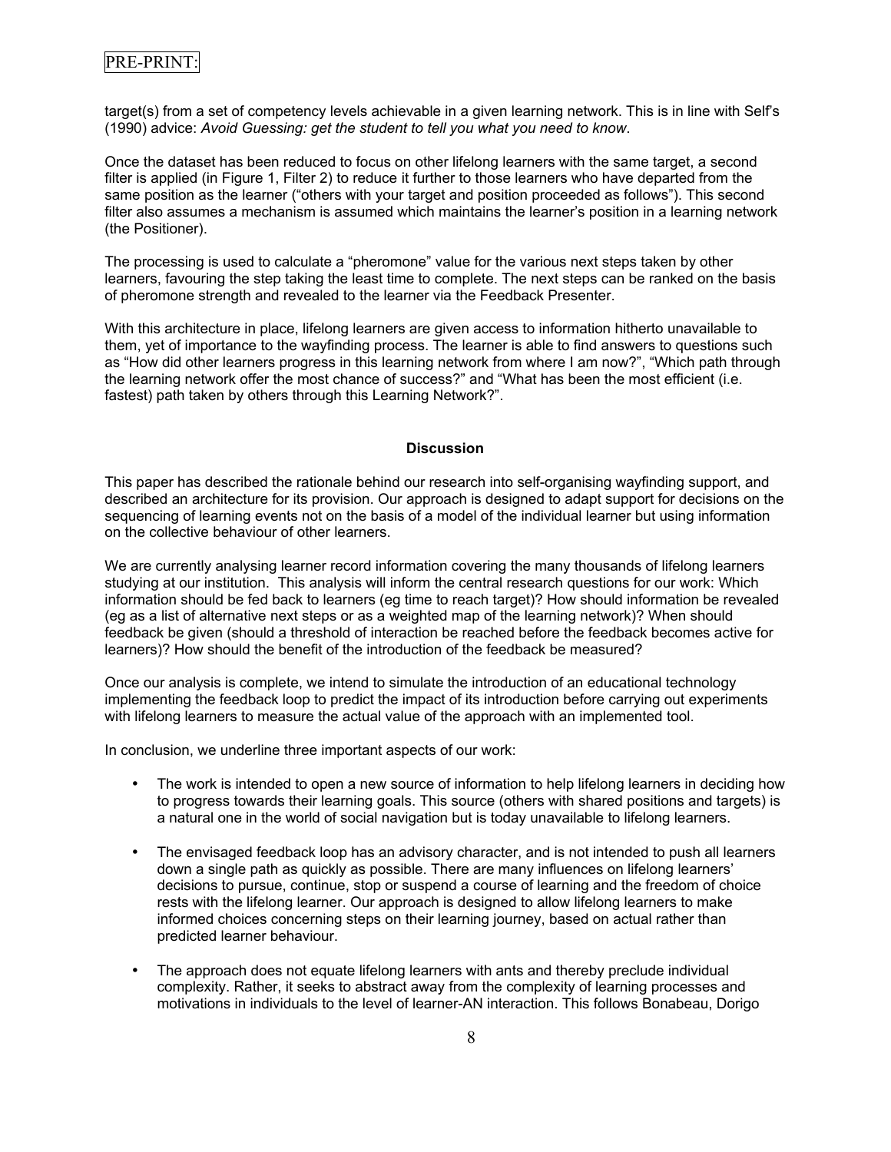target(s) from a set of competency levels achievable in a given learning network. This is in line with Self's (1990) advice: *Avoid Guessing: get the student to tell you what you need to know*.

Once the dataset has been reduced to focus on other lifelong learners with the same target, a second filter is applied (in Figure 1, Filter 2) to reduce it further to those learners who have departed from the same position as the learner ("others with your target and position proceeded as follows"). This second filter also assumes a mechanism is assumed which maintains the learner's position in a learning network (the Positioner).

The processing is used to calculate a "pheromone" value for the various next steps taken by other learners, favouring the step taking the least time to complete. The next steps can be ranked on the basis of pheromone strength and revealed to the learner via the Feedback Presenter.

With this architecture in place, lifelong learners are given access to information hitherto unavailable to them, yet of importance to the wayfinding process. The learner is able to find answers to questions such as "How did other learners progress in this learning network from where I am now?", "Which path through the learning network offer the most chance of success?" and "What has been the most efficient (i.e. fastest) path taken by others through this Learning Network?".

### **Discussion**

This paper has described the rationale behind our research into self-organising wayfinding support, and described an architecture for its provision. Our approach is designed to adapt support for decisions on the sequencing of learning events not on the basis of a model of the individual learner but using information on the collective behaviour of other learners.

We are currently analysing learner record information covering the many thousands of lifelong learners studying at our institution. This analysis will inform the central research questions for our work: Which information should be fed back to learners (eg time to reach target)? How should information be revealed (eg as a list of alternative next steps or as a weighted map of the learning network)? When should feedback be given (should a threshold of interaction be reached before the feedback becomes active for learners)? How should the benefit of the introduction of the feedback be measured?

Once our analysis is complete, we intend to simulate the introduction of an educational technology implementing the feedback loop to predict the impact of its introduction before carrying out experiments with lifelong learners to measure the actual value of the approach with an implemented tool.

In conclusion, we underline three important aspects of our work:

- The work is intended to open a new source of information to help lifelong learners in deciding how to progress towards their learning goals. This source (others with shared positions and targets) is a natural one in the world of social navigation but is today unavailable to lifelong learners.
- The envisaged feedback loop has an advisory character, and is not intended to push all learners down a single path as quickly as possible. There are many influences on lifelong learners' decisions to pursue, continue, stop or suspend a course of learning and the freedom of choice rests with the lifelong learner. Our approach is designed to allow lifelong learners to make informed choices concerning steps on their learning journey, based on actual rather than predicted learner behaviour.
- The approach does not equate lifelong learners with ants and thereby preclude individual complexity. Rather, it seeks to abstract away from the complexity of learning processes and motivations in individuals to the level of learner-AN interaction. This follows Bonabeau, Dorigo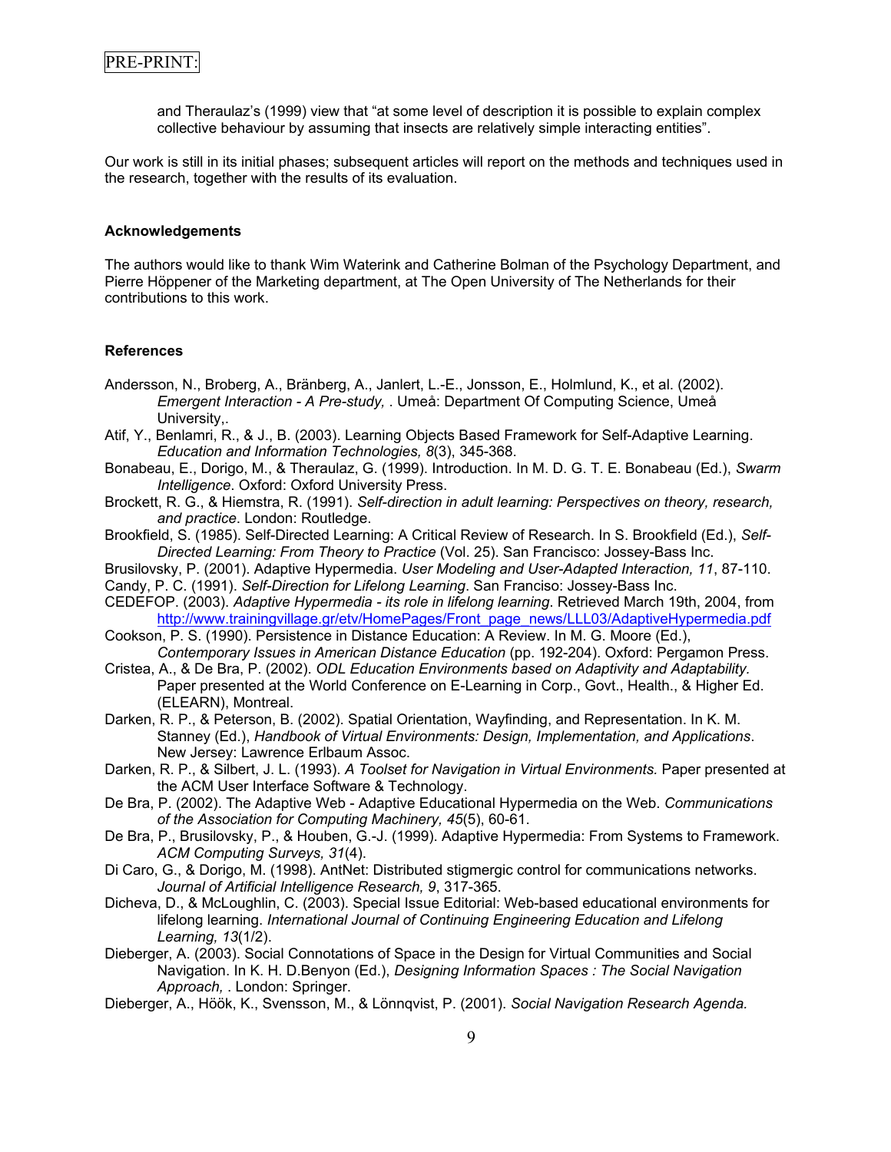and Theraulaz's (1999) view that "at some level of description it is possible to explain complex collective behaviour by assuming that insects are relatively simple interacting entities".

Our work is still in its initial phases; subsequent articles will report on the methods and techniques used in the research, together with the results of its evaluation.

#### **Acknowledgements**

The authors would like to thank Wim Waterink and Catherine Bolman of the Psychology Department, and Pierre Höppener of the Marketing department, at The Open University of The Netherlands for their contributions to this work.

#### **References**

- Andersson, N., Broberg, A., Bränberg, A., Janlert, L.-E., Jonsson, E., Holmlund, K., et al. (2002). *Emergent Interaction - A Pre-study,* . Umeå: Department Of Computing Science, Umeå University,.
- Atif, Y., Benlamri, R., & J., B. (2003). Learning Objects Based Framework for Self-Adaptive Learning. *Education and Information Technologies, 8*(3), 345-368.
- Bonabeau, E., Dorigo, M., & Theraulaz, G. (1999). Introduction. In M. D. G. T. E. Bonabeau (Ed.), *Swarm Intelligence*. Oxford: Oxford University Press.
- Brockett, R. G., & Hiemstra, R. (1991). *Self-direction in adult learning: Perspectives on theory, research, and practice*. London: Routledge.
- Brookfield, S. (1985). Self-Directed Learning: A Critical Review of Research. In S. Brookfield (Ed.), *Self-Directed Learning: From Theory to Practice* (Vol. 25). San Francisco: Jossey-Bass Inc.
- Brusilovsky, P. (2001). Adaptive Hypermedia. *User Modeling and User-Adapted Interaction, 11*, 87-110. Candy, P. C. (1991). *Self-Direction for Lifelong Learning*. San Franciso: Jossey-Bass Inc.
- CEDEFOP. (2003). *Adaptive Hypermedia its role in lifelong learning*. Retrieved March 19th, 2004, from [http://www.trainingvillage.gr/etv/HomePages/Front\\_page\\_news/LLL03/AdaptiveHypermedia.pdf](http://www.trainingvillage.gr/etv/HomePages/Front_page_news/LLL03/AdaptiveHypermedia.pdf)
- Cookson, P. S. (1990). Persistence in Distance Education: A Review. In M. G. Moore (Ed.), *Contemporary Issues in American Distance Education* (pp. 192-204). Oxford: Pergamon Press.
- Cristea, A., & De Bra, P. (2002). *ODL Education Environments based on Adaptivity and Adaptability.* Paper presented at the World Conference on E-Learning in Corp., Govt., Health., & Higher Ed. (ELEARN), Montreal.
- Darken, R. P., & Peterson, B. (2002). Spatial Orientation, Wayfinding, and Representation. In K. M. Stanney (Ed.), *Handbook of Virtual Environments: Design, Implementation, and Applications*. New Jersey: Lawrence Erlbaum Assoc.
- Darken, R. P., & Silbert, J. L. (1993). *A Toolset for Navigation in Virtual Environments.* Paper presented at the ACM User Interface Software & Technology.
- De Bra, P. (2002). The Adaptive Web Adaptive Educational Hypermedia on the Web. *Communications of the Association for Computing Machinery, 45*(5), 60-61.
- De Bra, P., Brusilovsky, P., & Houben, G.-J. (1999). Adaptive Hypermedia: From Systems to Framework. *ACM Computing Surveys, 31*(4).
- Di Caro, G., & Dorigo, M. (1998). AntNet: Distributed stigmergic control for communications networks. *Journal of Artificial Intelligence Research, 9*, 317-365.
- Dicheva, D., & McLoughlin, C. (2003). Special Issue Editorial: Web-based educational environments for lifelong learning. *International Journal of Continuing Engineering Education and Lifelong Learning, 13*(1/2).
- Dieberger, A. (2003). Social Connotations of Space in the Design for Virtual Communities and Social Navigation. In K. H. D.Benyon (Ed.), *Designing Information Spaces : The Social Navigation Approach,* . London: Springer.
- Dieberger, A., Höök, K., Svensson, M., & Lönnqvist, P. (2001). *Social Navigation Research Agenda.*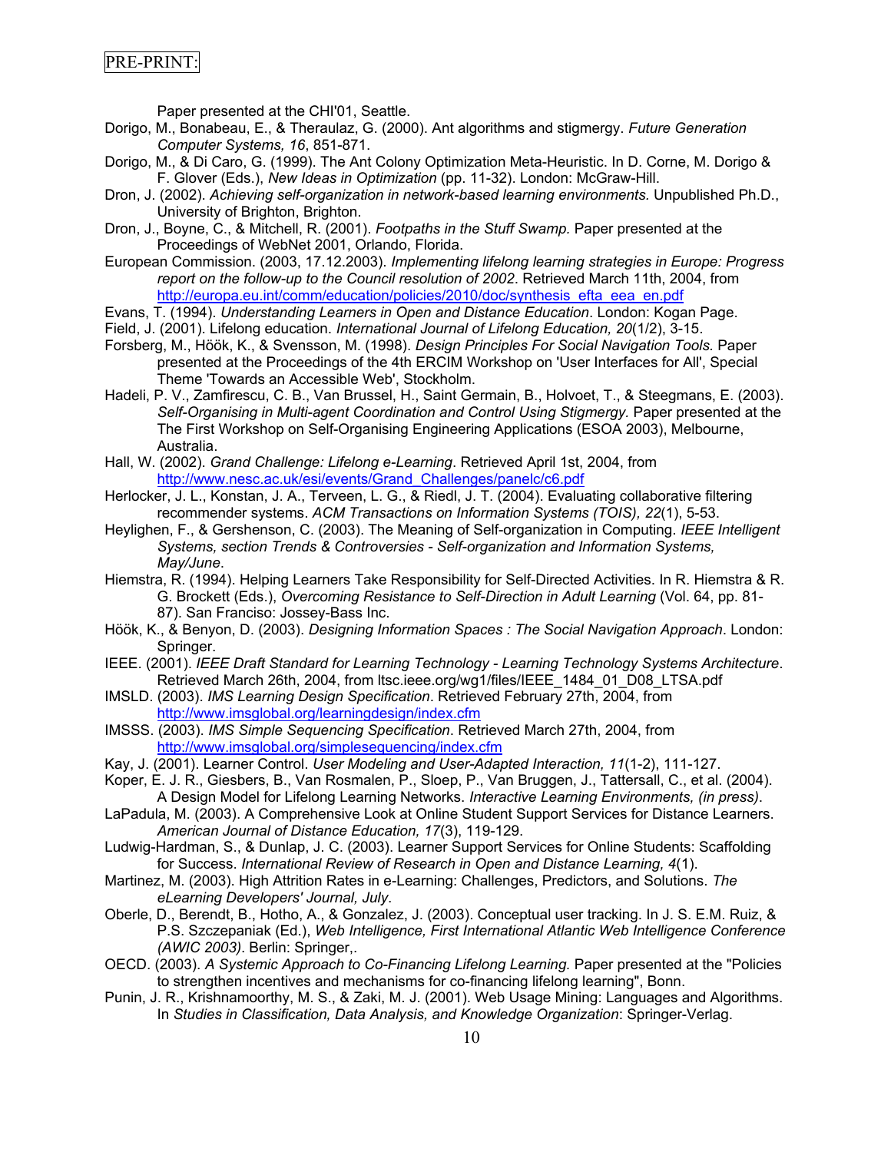Paper presented at the CHI'01, Seattle.

- Dorigo, M., Bonabeau, E., & Theraulaz, G. (2000). Ant algorithms and stigmergy. *Future Generation Computer Systems, 16*, 851-871.
- Dorigo, M., & Di Caro, G. (1999). The Ant Colony Optimization Meta-Heuristic. In D. Corne, M. Dorigo & F. Glover (Eds.), *New Ideas in Optimization* (pp. 11-32). London: McGraw-Hill.
- Dron, J. (2002). *Achieving self-organization in network-based learning environments.* Unpublished Ph.D., University of Brighton, Brighton.
- Dron, J., Boyne, C., & Mitchell, R. (2001). *Footpaths in the Stuff Swamp.* Paper presented at the Proceedings of WebNet 2001, Orlando, Florida.
- European Commission. (2003, 17.12.2003). *Implementing lifelong learning strategies in Europe: Progress report on the follow-up to the Council resolution of 2002*. Retrieved March 11th, 2004, from [http://europa.eu.int/comm/education/policies/2010/doc/synthesis\\_efta\\_eea\\_en.pdf](http://europa.eu.int/comm/education/policies/2010/doc/synthesis_efta_eea_en.pdf)
- Evans, T. (1994). *Understanding Learners in Open and Distance Education*. London: Kogan Page.
- Field, J. (2001). Lifelong education. *International Journal of Lifelong Education, 20*(1/2), 3-15.
- Forsberg, M., Höök, K., & Svensson, M. (1998). *Design Principles For Social Navigation Tools.* Paper presented at the Proceedings of the 4th ERCIM Workshop on 'User Interfaces for All', Special Theme 'Towards an Accessible Web', Stockholm.
- Hadeli, P. V., Zamfirescu, C. B., Van Brussel, H., Saint Germain, B., Holvoet, T., & Steegmans, E. (2003). *Self-Organising in Multi-agent Coordination and Control Using Stigmergy.* Paper presented at the The First Workshop on Self-Organising Engineering Applications (ESOA 2003), Melbourne, Australia.
- Hall, W. (2002). *Grand Challenge: Lifelong e-Learning*. Retrieved April 1st, 2004, from [http://www.nesc.ac.uk/esi/events/Grand\\_Challenges/panelc/c6.pdf](http://www.nesc.ac.uk/esi/events/Grand_Challenges/panelc/c6.pdf)
- Herlocker, J. L., Konstan, J. A., Terveen, L. G., & Riedl, J. T. (2004). Evaluating collaborative filtering recommender systems. *ACM Transactions on Information Systems (TOIS), 22*(1), 5-53.
- Heylighen, F., & Gershenson, C. (2003). The Meaning of Self-organization in Computing. *IEEE Intelligent Systems, section Trends & Controversies - Self-organization and Information Systems, May/June*.
- Hiemstra, R. (1994). Helping Learners Take Responsibility for Self-Directed Activities. In R. Hiemstra & R. G. Brockett (Eds.), *Overcoming Resistance to Self-Direction in Adult Learning* (Vol. 64, pp. 81- 87). San Franciso: Jossey-Bass Inc.
- Höök, K., & Benyon, D. (2003). *Designing Information Spaces : The Social Navigation Approach*. London: Springer.
- IEEE. (2001). *IEEE Draft Standard for Learning Technology Learning Technology Systems Architecture*. Retrieved March 26th, 2004, from ltsc.ieee.org/wg1/files/IEEE\_1484\_01\_D08\_LTSA.pdf
- IMSLD. (2003). *IMS Learning Design Specification*. Retrieved February 27th, 2004, from <http://www.imsglobal.org/learningdesign/index.cfm>
- IMSSS. (2003). *IMS Simple Sequencing Specification*. Retrieved March 27th, 2004, from <http://www.imsglobal.org/simplesequencing/index.cfm>
- Kay, J. (2001). Learner Control. *User Modeling and User-Adapted Interaction, 11*(1-2), 111-127.
- Koper, E. J. R., Giesbers, B., Van Rosmalen, P., Sloep, P., Van Bruggen, J., Tattersall, C., et al. (2004). A Design Model for Lifelong Learning Networks. *Interactive Learning Environments, (in press)*.
- LaPadula, M. (2003). A Comprehensive Look at Online Student Support Services for Distance Learners. *American Journal of Distance Education, 17*(3), 119-129.
- Ludwig-Hardman, S., & Dunlap, J. C. (2003). Learner Support Services for Online Students: Scaffolding for Success. *International Review of Research in Open and Distance Learning, 4*(1).
- Martinez, M. (2003). High Attrition Rates in e-Learning: Challenges, Predictors, and Solutions. *The eLearning Developers' Journal, July*.
- Oberle, D., Berendt, B., Hotho, A., & Gonzalez, J. (2003). Conceptual user tracking. In J. S. E.M. Ruiz, & P.S. Szczepaniak (Ed.), *Web Intelligence, First International Atlantic Web Intelligence Conference (AWIC 2003)*. Berlin: Springer,.
- OECD. (2003). *A Systemic Approach to Co-Financing Lifelong Learning.* Paper presented at the "Policies to strengthen incentives and mechanisms for co-financing lifelong learning", Bonn.
- Punin, J. R., Krishnamoorthy, M. S., & Zaki, M. J. (2001). Web Usage Mining: Languages and Algorithms. In *Studies in Classification, Data Analysis, and Knowledge Organization*: Springer-Verlag.